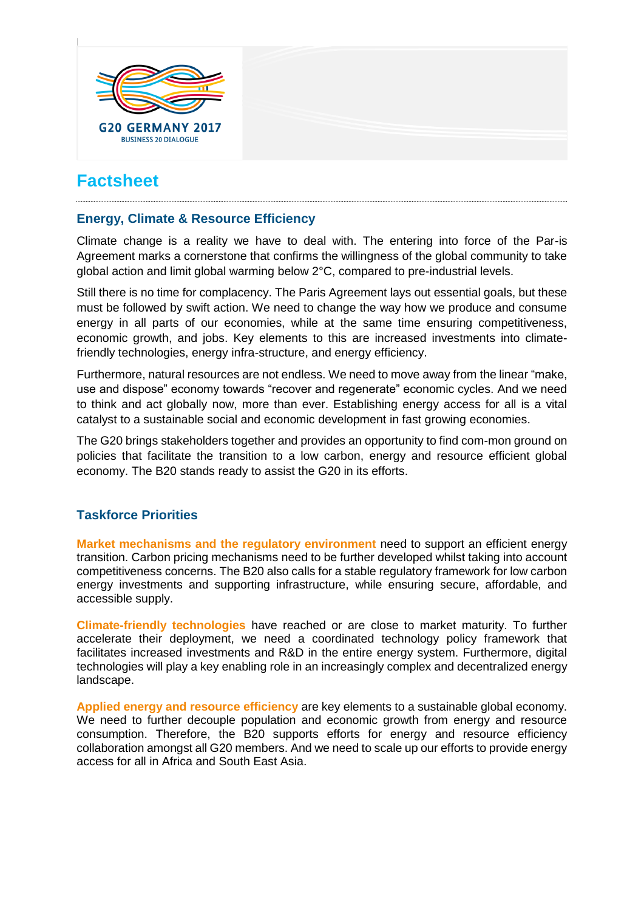

# **Factsheet**

#### **Energy, Climate & Resource Efficiency**

Climate change is a reality we have to deal with. The entering into force of the Par-is Agreement marks a cornerstone that confirms the willingness of the global community to take global action and limit global warming below 2°C, compared to pre-industrial levels.

Still there is no time for complacency. The Paris Agreement lays out essential goals, but these must be followed by swift action. We need to change the way how we produce and consume energy in all parts of our economies, while at the same time ensuring competitiveness, economic growth, and jobs. Key elements to this are increased investments into climatefriendly technologies, energy infra-structure, and energy efficiency.

Furthermore, natural resources are not endless. We need to move away from the linear "make, use and dispose" economy towards "recover and regenerate" economic cycles. And we need to think and act globally now, more than ever. Establishing energy access for all is a vital catalyst to a sustainable social and economic development in fast growing economies.

The G20 brings stakeholders together and provides an opportunity to find com-mon ground on policies that facilitate the transition to a low carbon, energy and resource efficient global economy. The B20 stands ready to assist the G20 in its efforts.

### **Taskforce Priorities**

**Market mechanisms and the regulatory environment** need to support an efficient energy transition. Carbon pricing mechanisms need to be further developed whilst taking into account competitiveness concerns. The B20 also calls for a stable regulatory framework for low carbon energy investments and supporting infrastructure, while ensuring secure, affordable, and accessible supply.

**Climate-friendly technologies** have reached or are close to market maturity. To further accelerate their deployment, we need a coordinated technology policy framework that facilitates increased investments and R&D in the entire energy system. Furthermore, digital technologies will play a key enabling role in an increasingly complex and decentralized energy landscape.

**Applied energy and resource efficiency** are key elements to a sustainable global economy. We need to further decouple population and economic growth from energy and resource consumption. Therefore, the B20 supports efforts for energy and resource efficiency collaboration amongst all G20 members. And we need to scale up our efforts to provide energy access for all in Africa and South East Asia.